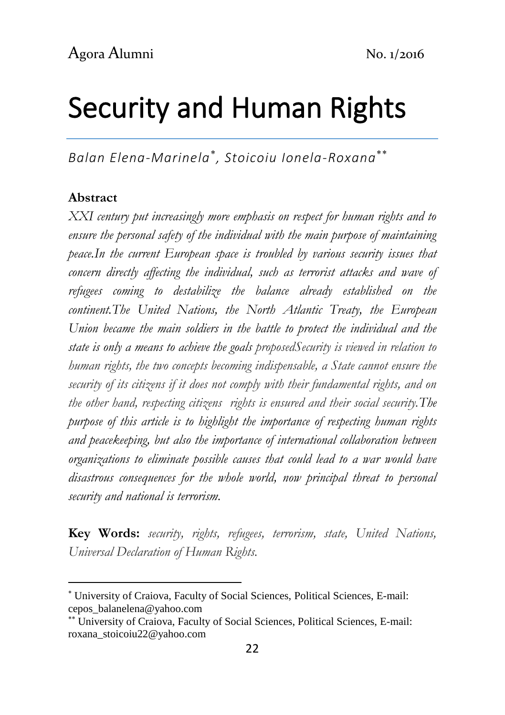# Security and Human Rights

*Balan Elena-Marinela , Stoicoiu Ionela-Roxana*

#### **Abstract**

**.** 

*XXI century put increasingly more emphasis on respect for human rights and to ensure the personal safety of the individual with the main purpose of maintaining peace.In the current European space is troubled by various security issues that concern directly affecting the individual, such as terrorist attacks and wave of refugees coming to destabilize the balance already established on the continent.The United Nations, the North Atlantic Treaty, the European Union became the main soldiers in the battle to protect the individual and the state is only a means to achieve the goals proposedSecurity is viewed in relation to human rights, the two concepts becoming indispensable, a State cannot ensure the security of its citizens if it does not comply with their fundamental rights, and on the other hand, respecting citizens rights is ensured and their social security.The purpose of this article is to highlight the importance of respecting human rights and peacekeeping, but also the importance of international collaboration between organizations to eliminate possible causes that could lead to a war would have disastrous consequences for the whole world, now principal threat to personal security and national is terrorism.*

**Key Words:** *security, rights, refugees, terrorism, state, United Nations, Universal Declaration of Human Rights.*

University of Craiova, Faculty of Social Sciences, Political Sciences, E-mail: cepos\_balanelena@yahoo.com

University of Craiova, Faculty of Social Sciences, Political Sciences, E-mail: roxana\_stoicoiu22@yahoo.com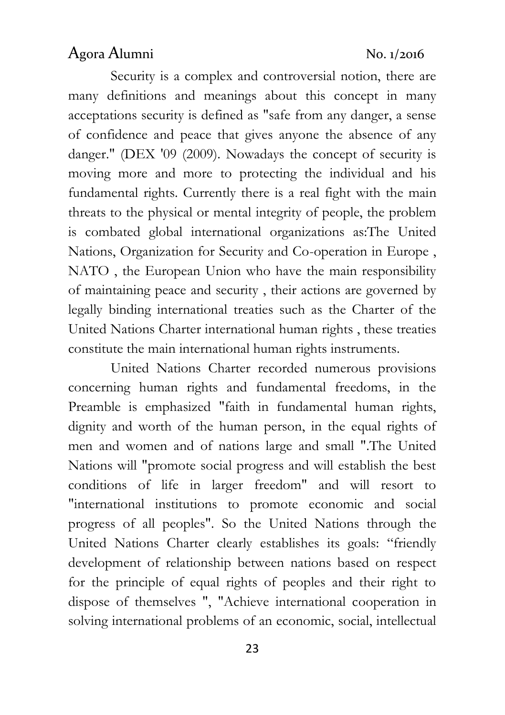Security is a complex and controversial notion, there are many definitions and meanings about this concept in many acceptations security is defined as "safe from any danger, a sense of confidence and peace that gives anyone the absence of any danger." [\(DEX '09 \(2009\).](https://dexonline.ro/surse) Nowadays the concept of security is moving more and more to protecting the individual and his fundamental rights. Currently there is a real fight with the main threats to the physical or mental integrity of people, the problem is combated global international organizations as:The United Nations, Organization for Security and Co-operation in Europe , NATO , the European Union who have the main responsibility of maintaining peace and security , their actions are governed by legally binding international treaties such as the Charter of the United Nations Charter international human rights , these treaties constitute the main international human rights instruments.

United Nations Charter recorded numerous provisions concerning human rights and fundamental freedoms, in the Preamble is emphasized "faith in fundamental human rights, dignity and worth of the human person, in the equal rights of men and women and of nations large and small ".The United Nations will "promote social progress and will establish the best conditions of life in larger freedom" and will resort to "international institutions to promote economic and social progress of all peoples". So the United Nations through the United Nations Charter clearly establishes its goals: "friendly development of relationship between nations based on respect for the principle of equal rights of peoples and their right to dispose of themselves ", "Achieve international cooperation in solving international problems of an economic, social, intellectual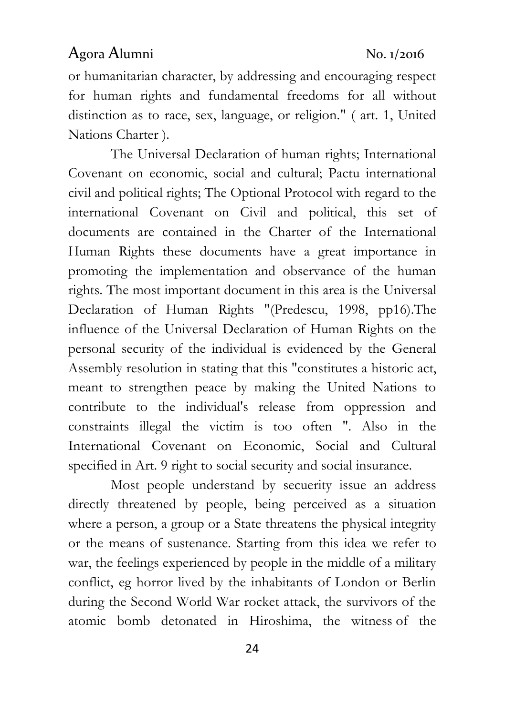or humanitarian character, by addressing and encouraging respect for human rights and fundamental freedoms for all without distinction as to race, sex, language, or religion." ( art. 1, United Nations Charter ).

The Universal Declaration of human rights; International Covenant on economic, social and cultural; Pactu international civil and political rights; The Optional Protocol with regard to the international Covenant on Civil and political, this set of documents are contained in the Charter of the International Human Rights these documents have a great importance in promoting the implementation and observance of the human rights. The most important document in this area is the Universal Declaration of Human Rights "(Predescu, 1998, pp16).The influence of the Universal Declaration of Human Rights on the personal security of the individual is evidenced by the General Assembly resolution in stating that this "constitutes a historic act, meant to strengthen peace by making the United Nations to contribute to the individual's release from oppression and constraints illegal the victim is too often ". Also in the International Covenant on Economic, Social and Cultural specified in Art. 9 right to social security and social insurance.

Most people understand by secuerity issue an address directly threatened by people, being perceived as a situation where a person, a group or a State threatens the physical integrity or the means of sustenance. Starting from this idea we refer to war, the feelings experienced by people in the middle of a military conflict, eg horror lived by the inhabitants of London or Berlin during the Second World War rocket attack, the survivors of the atomic bomb detonated in Hiroshima, the witness of the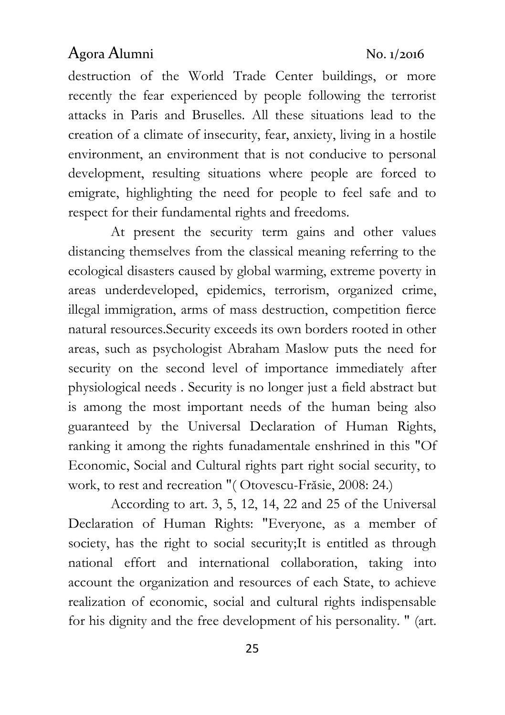destruction of the World Trade Center buildings, or more recently the fear experienced by people following the terrorist attacks in Paris and Bruselles. All these situations lead to the creation of a climate of insecurity, fear, anxiety, living in a hostile environment, an environment that is not conducive to personal development, resulting situations where people are forced to emigrate, highlighting the need for people to feel safe and to respect for their fundamental rights and freedoms.

At present the security term gains and other values distancing themselves from the classical meaning referring to the ecological disasters caused by global warming, extreme poverty in areas underdeveloped, epidemics, terrorism, organized crime, illegal immigration, arms of mass destruction, competition fierce natural resources.Security exceeds its own borders rooted in other areas, such as psychologist Abraham Maslow puts the need for security on the second level of importance immediately after physiological needs . Security is no longer just a field abstract but is among the most important needs of the human being also guaranteed by the Universal Declaration of Human Rights, ranking it among the rights funadamentale enshrined in this "Of Economic, Social and Cultural rights part right social security, to work, to rest and recreation "( Otovescu-Frăsie, 2008: 24.)

According to art. 3, 5, 12, 14, 22 and 25 of the Universal Declaration of Human Rights: "Everyone, as a member of society, has the right to social security;It is entitled as through national effort and international collaboration, taking into account the organization and resources of each State, to achieve realization of economic, social and cultural rights indispensable for his dignity and the free development of his personality. " (art.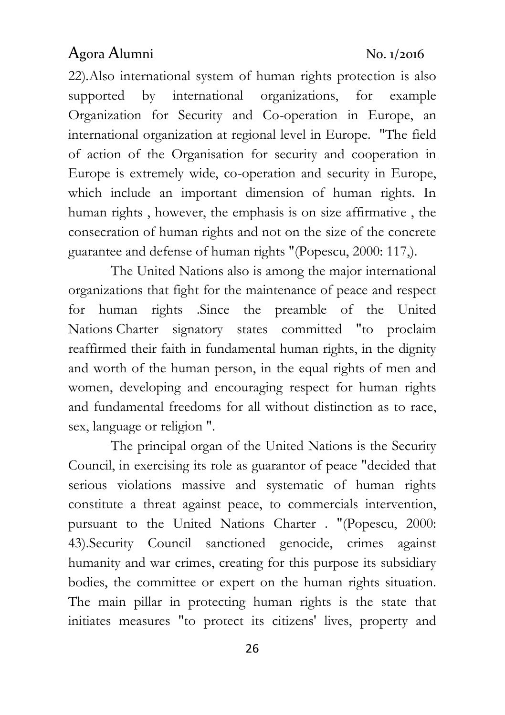22)*.*Also international system of human rights protection is also supported by international organizations, for example Organization for Security and Co-operation in Europe, an international organization at regional level in Europe. "The field of action of the Organisation for security and cooperation in Europe is extremely wide, co-operation and security in Europe, which include an important dimension of human rights. In human rights , however, the emphasis is on size affirmative , the consecration of human rights and not on the size of the concrete guarantee and defense of human rights "(Popescu, 2000: 117,).

The United Nations also is among the major international organizations that fight for the maintenance of peace and respect for human rights .Since the preamble of the United Nations Charter signatory states committed "to proclaim reaffirmed their faith in fundamental human rights, in the dignity and worth of the human person, in the equal rights of men and women, developing and encouraging respect for human rights and fundamental freedoms for all without distinction as to race, sex, language or religion ".

The principal organ of the United Nations is the Security Council, in exercising its role as guarantor of peace "decided that serious violations massive and systematic of human rights constitute a threat against peace, to commercials intervention, pursuant to the United Nations Charter . "(Popescu, 2000: 43).Security Council sanctioned genocide, crimes against humanity and war crimes, creating for this purpose its subsidiary bodies, the committee or expert on the human rights situation. The main pillar in protecting human rights is the state that initiates measures "to protect its citizens' lives, property and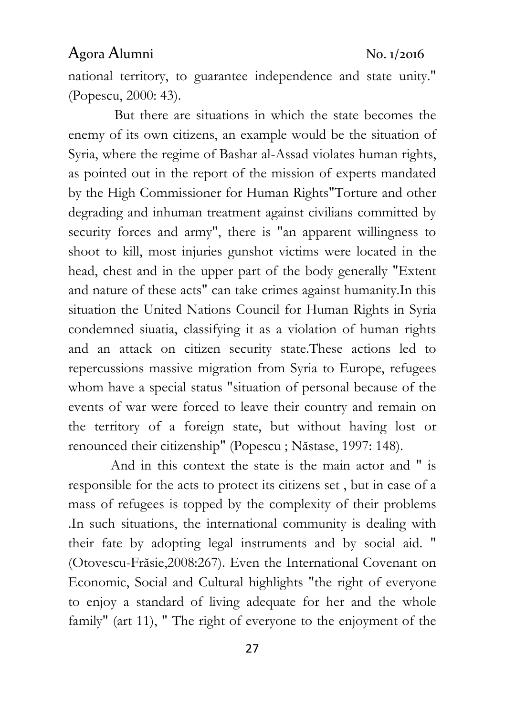national territory, to guarantee independence and state unity." (Popescu, 2000: 43).

But there are situations in which the state becomes the enemy of its own citizens, an example would be the situation of Syria, where the regime of Bashar al-Assad violates human rights, as pointed out in the report of the mission of experts mandated by the High Commissioner for Human Rights"Torture and other degrading and inhuman treatment against civilians committed by security forces and army", there is "an apparent willingness to shoot to kill, most injuries gunshot victims were located in the head, chest and in the upper part of the body generally "Extent and nature of these acts" can take crimes against humanity.In this situation the United Nations Council for Human Rights in Syria condemned siuatia, classifying it as a violation of human rights and an attack on citizen security state.These actions led to repercussions massive migration from Syria to Europe, refugees whom have a special status "situation of personal because of the events of war were forced to leave their country and remain on the territory of a foreign state, but without having lost or renounced their citizenship" (Popescu ; Năstase, 1997: 148).

And in this context the state is the main actor and " is responsible for the acts to protect its citizens set , but in case of a mass of refugees is topped by the complexity of their problems .In such situations, the international community is dealing with their fate by adopting legal instruments and by social aid. " (Otovescu-Frăsie,2008:267). Even the International Covenant on Economic, Social and Cultural highlights "the right of everyone to enjoy a standard of living adequate for her and the whole family" (art 11), " The right of everyone to the enjoyment of the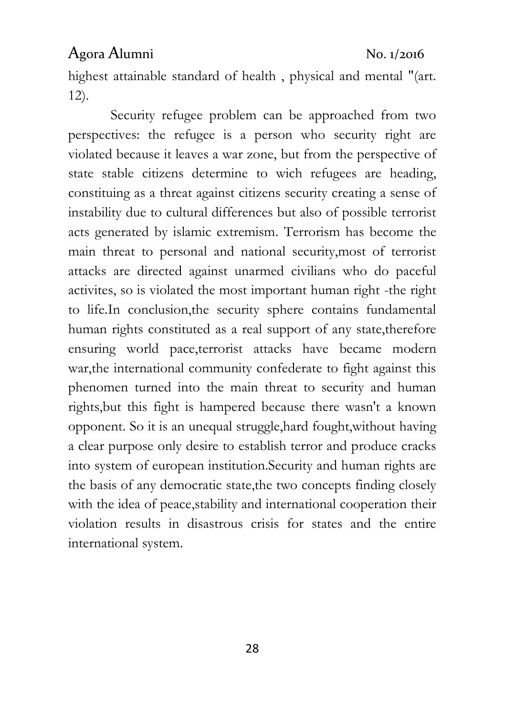highest attainable standard of health , physical and mental "(art. 12).

Security refugee problem can be approached from two perspectives: the refugee is a person who security right are violated because it leaves a war zone, but from the perspective of state stable citizens determine to wich refugees are heading, constituing as a threat against citizens security creating a sense of instability due to cultural differences but also of possible terrorist acts generated by islamic extremism. Terrorism has become the main threat to personal and national security,most of terrorist attacks are directed against unarmed civilians who do paceful activites, so is violated the most important human right -the right to life.In conclusion,the security sphere contains fundamental human rights constituted as a real support of any state,therefore ensuring world pace,terrorist attacks have became modern war,the international community confederate to fight against this phenomen turned into the main threat to security and human rights,but this fight is hampered because there wasn't a known opponent. So it is an unequal struggle,hard fought,without having a clear purpose only desire to establish terror and produce cracks into system of european institution.Security and human rights are the basis of any democratic state,the two concepts finding closely with the idea of peace, stability and international cooperation their violation results in disastrous crisis for states and the entire international system.